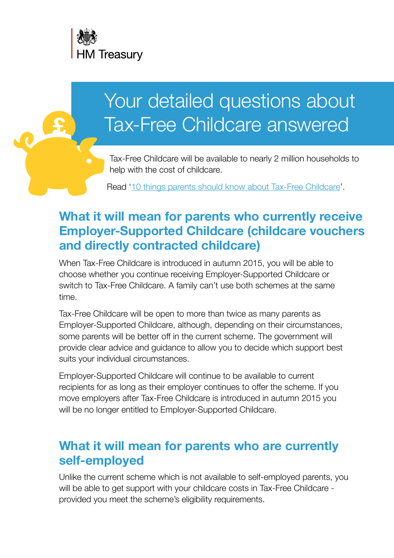

# Your detailed questions about Tax-Free Childcare answered

Tax-Free Childcare will be available to nearly 2 million households to help with the cost of childcare.

Read ['10 things parents should know about Tax-Free Childcare](http://www.gov.uk/government/news/tax-free-childcare-10-things-parents-should-know)'.

# **What it will mean for parents who currently receive Employer-Supported Childcare (childcare vouchers and directly contracted childcare)**

When Tax-Free Childcare is introduced in autumn 2015, you will be able to choose whether you continue receiving Employer-Supported Childcare or switch to Tax-Free Childcare. A family can't use both schemes at the same time.

Tax-Free Childcare will be open to more than twice as many parents as Employer-Supported Childcare, although, depending on their circumstances, some parents will be better off in the current scheme. The government will provide clear advice and guidance to allow you to decide which support best suits your individual circumstances.

Employer-Supported Childcare will continue to be available to current recipients for as long as their employer continues to offer the scheme. If you move employers after Tax-Free Childcare is introduced in autumn 2015 you will be no longer entitled to Employer-Supported Childcare.

#### **What it will mean for parents who are currently self-employed**

Unlike the current scheme which is not available to self-employed parents, you will be able to get support with your childcare costs in Tax-Free Childcare provided you meet the scheme's eligibility requirements.